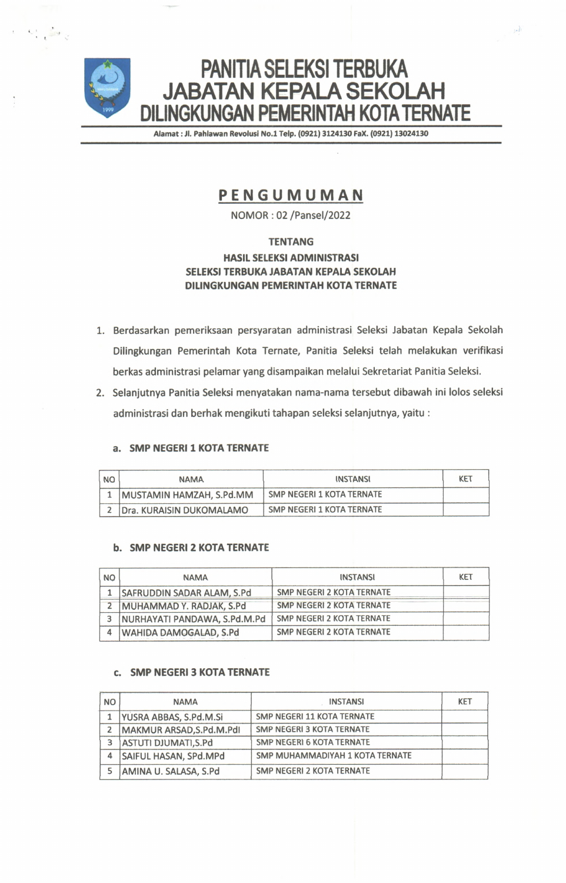

 $\ddot{\phantom{a}}$  ,  $\ddot{\phantom{a}}$ 

Alamat : Jl. Pahlawan Revolusi No.1 Telp. (0921) 3124130 FaX. (0921) 13024130

 $\mathcal{P}$ 

# **PENGUMUMAN**

**N O M O R : 0 2 / P a n s e l / 2 0 2 2**

# **TENTANG**

# **HASIL SELEKSI ADMINISTRASI SELEKSI TERBUKA JABATAN KEPALA SEKOLAH DILINGKUNGAN PEMERINTAH KOTA TERNATE**

- 1. Berdasarkan pemeriksaan persyaratan administrasi Seleksi Jabatan Kepala Sekolah Dilingkungan Pemerintah Kota Ternate, Panitia Seleksi telah melakukan verifikasi berkas administrasi pelamar yang disampaikan melalui Sekretariat Panitia Seleksi.
- 2. Selanjutnya Panitia Seleksi menyatakan nama-nama tersebut dibawah ini lolos seleksi a d ministrasi dan berhak mengikuti tahapan seleksi selan jutnya, yaitu :

# **a. SMP NEGERI 1 KOTA TERNATE**

| <b>NO</b> | <b>NAMA</b>              | INSTANSI                  | KET |
|-----------|--------------------------|---------------------------|-----|
|           | MUSTAMIN HAMZAH, S.Pd.MM | SMP NEGERI 1 KOTA TERNATE |     |
|           | Dra. KURAISIN DUKOMALAMO | SMP NEGERI 1 KOTA TERNATE |     |

#### **b. SMP NEGERI 2 KOTA TERNATE**

| <b>NO</b> | <b>NAMA</b>                  | <b>INSTANSI</b>                  | KET |
|-----------|------------------------------|----------------------------------|-----|
|           | SAFRUDDIN SADAR ALAM, S.Pd   | <b>SMP NEGERI 2 KOTA TERNATE</b> |     |
|           | MUHAMMAD Y. RADJAK, S.Pd     | <b>SMP NEGERI 2 KOTA TERNATE</b> |     |
| 3         | NURHAYATI PANDAWA, S.Pd.M.Pd | <b>SMP NEGERI 2 KOTA TERNATE</b> |     |
|           | WAHIDA DAMOGALAD, S.Pd       | SMP NEGERI 2 KOTA TERNATE        |     |

#### **c. SMP NEGERI 3 KOTA TERNATE**

| <b>NO</b> | <b>NAMA</b>                 | <b>INSTANSI</b>                  | <b>KET</b> |
|-----------|-----------------------------|----------------------------------|------------|
|           | YUSRA ABBAS, S.Pd.M.Si      | SMP NEGERI 11 KOTA TERNATE       |            |
| 2         | MAKMUR ARSAD, S.Pd.M.Pdl    | SMP NEGERI 3 KOTA TERNATE        |            |
| 3         | <b>ASTUTI DJUMATI, S.Pd</b> | <b>SMP NEGERI 6 KOTA TERNATE</b> |            |
| 4         | SAIFUL HASAN, SPd.MPd       | SMP MUHAMMADIYAH 1 KOTA TERNATE  |            |
| 5         | AMINA U. SALASA, S.Pd       | SMP NEGERI 2 KOTA TERNATE        |            |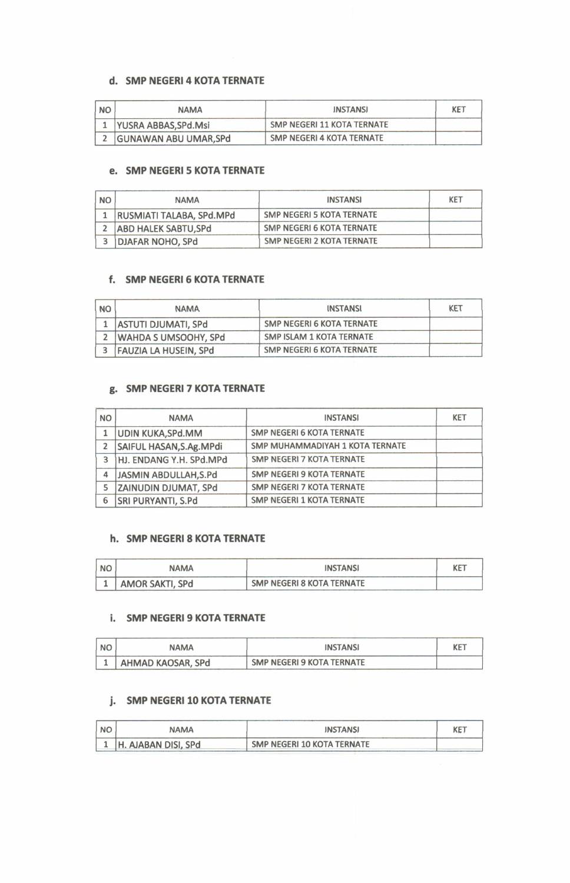# **d. SMP NEGERI 4 KOTA TERNATE**

| <b>NO</b> | <b>NAMA</b>           | <b>INSTANSI</b>            | KET |
|-----------|-----------------------|----------------------------|-----|
|           | YUSRA ABBAS, SPd. Msi | SMP NEGERI 11 KOTA TERNATE |     |
|           | GUNAWAN ABU UMAR, SPd | SMP NEGERI 4 KOTA TERNATE  |     |

# **e. SMP NEGERI 5 KOTA TERNATE**

| <b>NO</b> | <b>NAMA</b>                 | <b>INSTANSI</b>           | <b>KET</b> |
|-----------|-----------------------------|---------------------------|------------|
|           | RUSMIATI TALABA, SPd.MPd    | SMP NEGERI 5 KOTA TERNATE |            |
|           | <b>ABD HALEK SABTU, SPd</b> | SMP NEGERI 6 KOTA TERNATE |            |
|           | DJAFAR NOHO, SPd            | SMP NEGERI 2 KOTA TERNATE |            |

# **f.** SMP NEGERI 6 KOTA TERNATE

| <b>NO</b> | <b>NAMA</b>                  | INSTANSI                         | KET |
|-----------|------------------------------|----------------------------------|-----|
|           | <b>ASTUTI DJUMATI, SPd</b>   | <b>SMP NEGERI 6 KOTA TERNATE</b> |     |
|           | WAHDA S UMSOOHY, SPd         | SMP ISLAM 1 KOTA TERNATE         |     |
|           | <b>FAUZIA LA HUSEIN, SPd</b> | SMP NEGERI 6 KOTA TERNATE        |     |

# **g. SMP NEGERI 7 KOTA TERNATE**

| <b>NO</b>      | <b>NAMA</b>                 | <b>INSTANSI</b>                  | <b>KET</b> |
|----------------|-----------------------------|----------------------------------|------------|
|                | UDIN KUKA, SPd. MM          | <b>SMP NEGERI 6 KOTA TERNATE</b> |            |
| $\overline{2}$ | SAIFUL HASAN, S.Ag. MPdi    | SMP MUHAMMADIYAH 1 KOTA TERNATE  |            |
| 3              | HJ. ENDANG Y.H. SPd.MPd     | <b>SMP NEGERI 7 KOTA TERNATE</b> |            |
| 4              | JASMIN ABDULLAH, S.Pd       | <b>SMP NEGERI 9 KOTA TERNATE</b> |            |
| 5              | <b>ZAINUDIN DJUMAT, SPd</b> | <b>SMP NEGERI 7 KOTA TERNATE</b> |            |
| 6              | <b>SRI PURYANTI, S.Pd</b>   | <b>SMP NEGERI 1 KOTA TERNATE</b> |            |

# **h. SMP NEGERI 8 KOTA TERNATE**

| <b>NO</b> | <b>NAMA</b>     | <b>INSTANSI</b>           | KET |
|-----------|-----------------|---------------------------|-----|
|           | AMOR SAKTI, SPd | SMP NEGERI 8 KOTA TERNATE |     |

# **i.** SMP NEGERI 9 KOTA TERNATE

| NO | NAMA                  | <b>INSTANSI</b>           | KE. |
|----|-----------------------|---------------------------|-----|
|    | 1   AHMAD KAOSAR, SPd | SMP NEGERI 9 KOTA TERNATE |     |

# **j.** SMP NEGERI 10 KOTA TERNATE

| <b>NO</b> | NAMA                | <b>INSTANSI</b>                   | KE <sub>1</sub> |
|-----------|---------------------|-----------------------------------|-----------------|
|           | H. AJABAN DISI, SPd | <b>SMP NEGERI 10 KOTA TERNATE</b> |                 |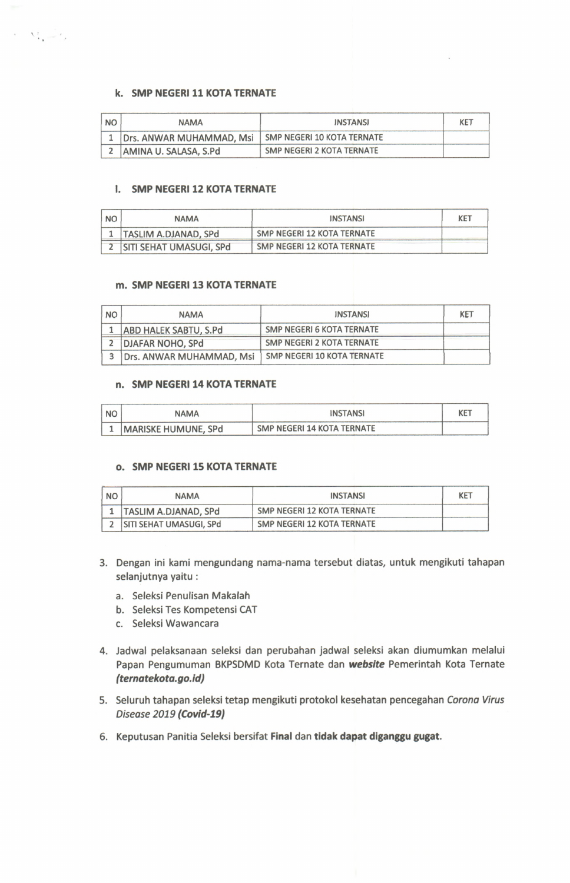# **k. SMP NEGERI 11 KOTA TERNATE**

 $\tau = \nabla^{\mathbf{r}}_{\mathbf{r}} \underbrace{\mathbf{r}^{\mathbf{r}}}_{\mathbf{r}} \mathbf{r}^{\mathbf{r}}$ 

| I NO | <b>NAMA</b>                  | <b>INSTANSI</b>            | KET |
|------|------------------------------|----------------------------|-----|
|      | 1   Drs. ANWAR MUHAMMAD, Msi | SMP NEGERI 10 KOTA TERNATE |     |
|      | AMINA U. SALASA, S.Pd        | SMP NEGERI 2 KOTA TERNATE  |     |

# **I. SMP NEGERI 12 KOTA TERNATE**

| <b>NO</b> | <b>NAMA</b>               | <b>INSTANSI</b>            | KET |
|-----------|---------------------------|----------------------------|-----|
|           | TASLIM A.DJANAD, SPd      | SMP NEGERI 12 KOTA TERNATE |     |
|           | 2 SITI SEHAT UMASUGI, SPd | SMP NEGERI 12 KOTA TERNATE |     |

#### **m. SMP NEGERI 13 KOTA TERNATE**

| <b>NO</b> | <b>NAMA</b>                  | <b>INSTANSI</b>                   | <b>KET</b> |
|-----------|------------------------------|-----------------------------------|------------|
|           | <b>ABD HALEK SABTU, S.Pd</b> | <b>SMP NEGERI 6 KOTA TERNATE</b>  |            |
|           | <b>DJAFAR NOHO, SPd</b>      | SMP NEGERI 2 KOTA TERNATE         |            |
| 3         | Drs. ANWAR MUHAMMAD, Msi     | <b>SMP NEGERI 10 KOTA TERNATE</b> |            |

#### **n. SMP NEGERI 14 KOTA TERNATE**

| NO. | <b>NAMA</b>                | <b>INSTANSI</b>            | <b>KET</b> |
|-----|----------------------------|----------------------------|------------|
|     | <b>MARISKE HUMUNE, SPd</b> | SMP NEGERI 14 KOTA TERNATE |            |

#### **o. SMP NEGERI 15 KOTA TERNATE**

| <b>NO</b> | <b>NAMA</b>                 | <b>INSTANSI</b>            | <b>KET</b> |
|-----------|-----------------------------|----------------------------|------------|
|           | <b>TASLIM A.DJANAD, SPd</b> | SMP NEGERI 12 KOTA TERNATE |            |
|           | SITI SEHAT UMASUGI, SPd     | SMP NEGERI 12 KOTA TERNATE |            |

- 3. Dengan ini kami mengundang nama-nama tersebut diatas, untuk mengikuti tahapan selanjutnya yaitu :
	- a. Seleksi Penulisan Makalah
	- **b.** Seleksi Tes Kompetensi CAT
	- c. Seleksi Wawancara
- 4. Jadwal pelaksanaan seleksi dan perubahan jadwal seleksi akan diumumkan melalui Papan Pengumuman BKPSDMD Kota Ternate dan **website** Pemerintah Kota Ternate *(ternatekota.go.id)*
- 5. Seluruh tahapan seleksi tetap mengikuti protokol kesehatan pencegahan Corona Virus *D is e a s e 2 0 1 9 (Covid-19)*
- 6. Keputusan Panitia Seleksi bersifat Final dan tidak dapat diganggu gugat.